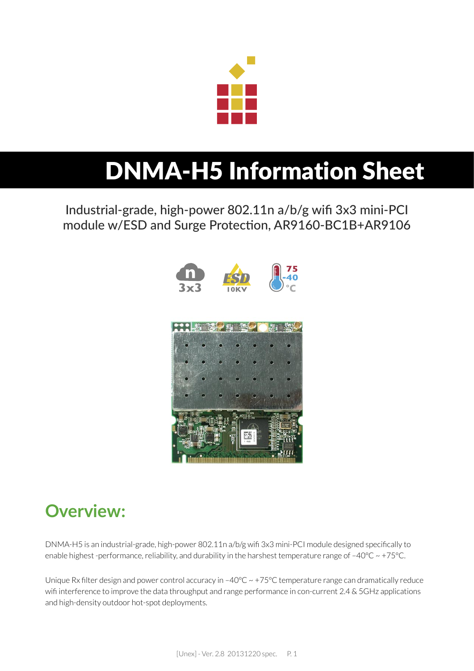

# DNMA-H5 Information Sheet

Industrial-grade, high-power 802.11n a/b/g wifi 3x3 mini-PCI module w/ESD and Surge Protection, AR9160-BC1B+AR9106



### **Overview:**

DNMA-H5 is an industrial-grade, high-power 802.11n a/b/g wifi 3x3 mini-PCI module designed specifically to enable highest -performance, reliability, and durability in the harshest temperature range of -40°C ~ +75°C.

Unique Rx filter design and power control accuracy in -40°C ~ +75°C temperature range can dramatically reduce wifi interference to improve the data throughput and range performance in con-current 2.4 & 5GHz applications and high-density outdoor hot-spot deployments.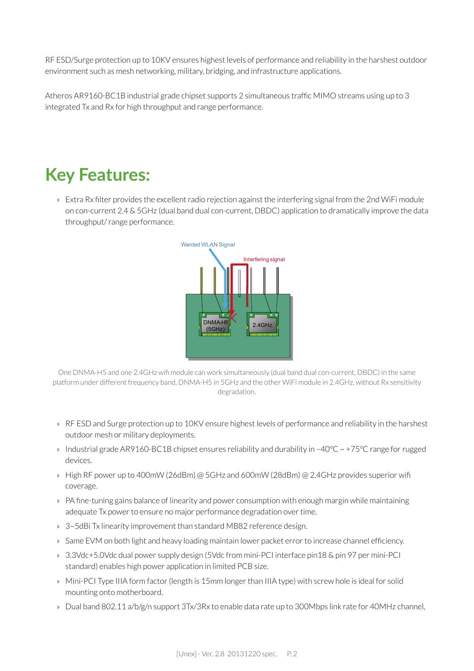RF ESD/Surge protection up to 10KV ensures highest levels of performance and reliability in the harshest outdoor environment such as mesh networking, military, bridging, and infrastructure applications.

Atheros AR9160-BC1B industrial grade chipset supports 2 simultaneous traffic MIMO streams using up to 3 integrated Tx and Rx for high throughput and range performance.

### **Key Features:**

» Extra Rx filter provides the excellent radio rejection against the interfering signal from the 2nd WiFi module on con-current 2.4 & 5GHz (dual band dual con-current, DBDC) application to dramatically improve the data throughput/ range performance.



One DNMA-H5 and one 2.4GHz wifi module can work simultaneously (dual band dual con-current, DBDC) in the same platform under different frequency band, DNMA-H5 in 5GHz and the other WiFi module in 2.4GHz, without Rx sensitivity degradation.

- » RF ESD and Surge protection up to 10KV ensure highest levels of performance and reliability in the harshest outdoor mesh or military deployments.
- » Industrial grade AR9160-BC1B chipset ensures reliability and durability in  $-40^{\circ}$ C  $\sim$  +75°C range for rugged devices.
- » High RF power up to 400mW (26dBm) @ 5GHz and 600mW (28dBm) @ 2.4GHz provides superior wifi coverage.
- » PA fine-tuning gains balance of linearity and power consumption with enough margin while maintaining adequate Tx power to ensure no major performance degradation over time.
- » 3~5dBi Tx linearity improvement than standard MB82 reference design.
- » Same EVM on both light and heavy loading maintain lower packet error to increase channel efficiency.
- » 3.3Vdc+5.0Vdc dual power supply design (5Vdc from mini-PCI interface pin18 & pin 97 per mini-PCI standard) enables high power application in limited PCB size.
- » Mini-PCI Type IIIA form factor (length is 15mm longer than IIIA type) with screw hole is ideal for solid mounting onto motherboard.
- » Dual band 802.11 a/b/g/n support 3Tx/3Rx to enable data rate up to 300Mbps link rate for 40MHz channel,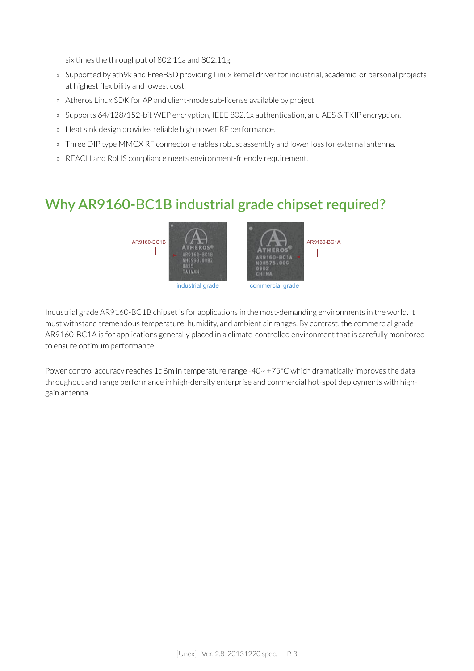six times the throughput of 802.11a and 802.11g.

- » Supported by ath9k and FreeBSD providing Linux kernel driver for industrial, academic, or personal projects at highest flexibility and lowest cost.
- » Atheros Linux SDK for AP and client-mode sub-license available by project.
- » Supports 64/128/152-bit WEP encryption, IEEE 802.1x authentication, and AES & TKIP encryption.
- » Heat sink design provides reliable high power RF performance.
- » Three DIP type MMCX RF connector enables robust assembly and lower loss for external antenna.
- » REACH and RoHS compliance meets environment-friendly requirement.

### **Why AR9160-BC1B industrial grade chipset required?**



Industrial grade AR9160-BC1B chipset is for applications in the most-demanding environments in the world. It must withstand tremendous temperature, humidity, and ambient air ranges. By contrast, the commercial grade AR9160-BC1A is for applications generally placed in a climate-controlled environment that is carefully monitored to ensure optimum performance.

Power control accuracy reaches 1dBm in temperature range -40~ +75°C which dramatically improves the data throughput and range performance in high-density enterprise and commercial hot-spot deployments with highgain antenna.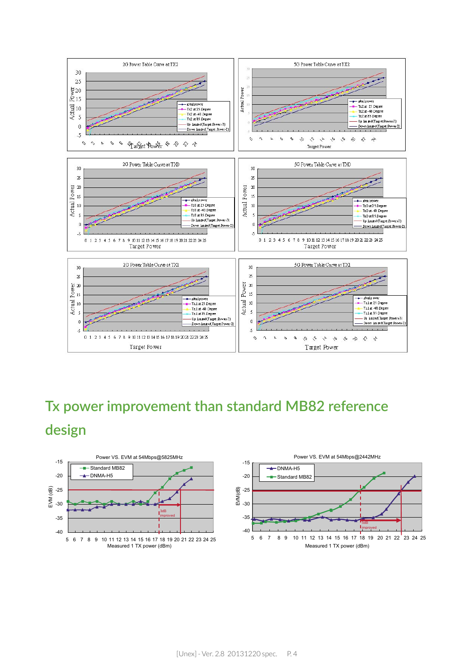

### **Tx power improvement than standard MB82 reference design**



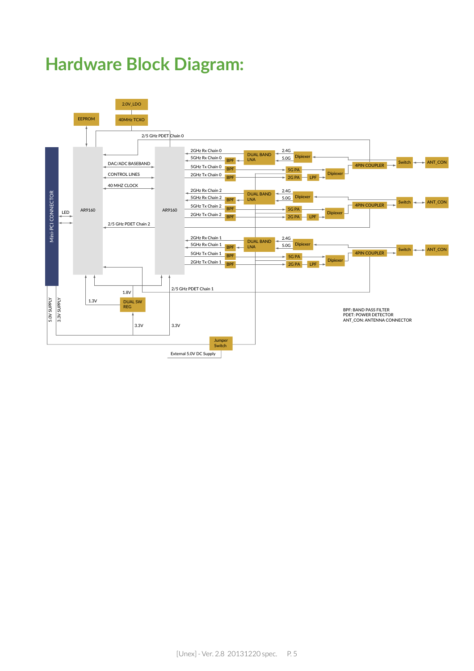### **Hardware Block Diagram:**

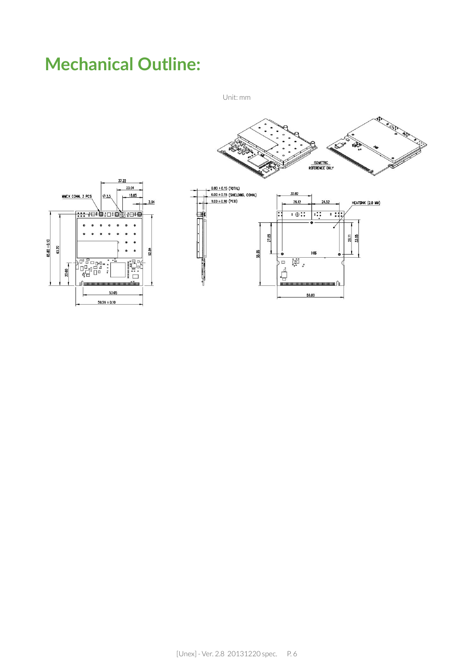### **Mechanical Outline:**

Unit: mm

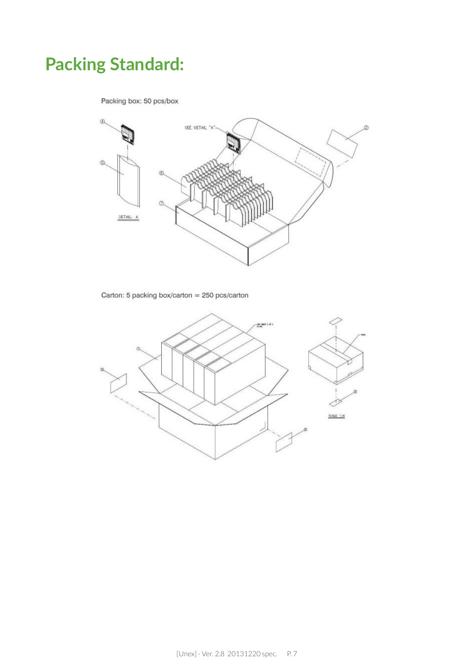### **Packing Standard:**

Packing box: 50 pcs/box



Carton: 5 packing box/carton = 250 pcs/carton

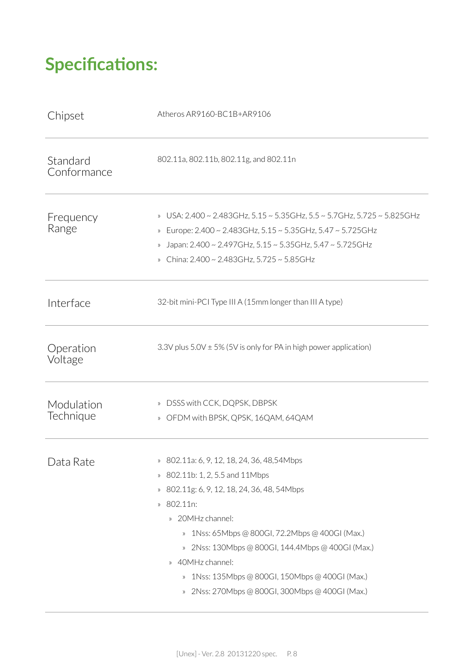## **Specifications:**

| Chipset                 | Atheros AR9160-BC1B+AR9106                                                                                                                                                                                                                                                                                                                                                                                                                                                                                                                    |
|-------------------------|-----------------------------------------------------------------------------------------------------------------------------------------------------------------------------------------------------------------------------------------------------------------------------------------------------------------------------------------------------------------------------------------------------------------------------------------------------------------------------------------------------------------------------------------------|
| Standard<br>Conformance | 802.11a, 802.11b, 802.11g, and 802.11n                                                                                                                                                                                                                                                                                                                                                                                                                                                                                                        |
| Frequency<br>Range      | » USA: 2.400 ~ 2.483GHz, 5.15 ~ 5.35GHz, 5.5 ~ 5.7GHz, 5.725 ~ 5.825GHz<br>Europe: 2.400 ~ 2.483GHz, 5.15 ~ 5.35GHz, 5.47 ~ 5.725GHz<br>$\rangle\!\rangle$<br>Japan: 2.400 ~ 2.497GHz, 5.15 ~ 5.35GHz, 5.47 ~ 5.725GHz<br>China: 2.400 ~ 2.483GHz, 5.725 ~ 5.85GHz                                                                                                                                                                                                                                                                            |
| Interface               | 32-bit mini-PCI Type III A (15mm longer than III A type)                                                                                                                                                                                                                                                                                                                                                                                                                                                                                      |
| Operation<br>Voltage    | 3.3V plus $5.0V \pm 5\%$ (5V is only for PA in high power application)                                                                                                                                                                                                                                                                                                                                                                                                                                                                        |
| Modulation<br>Technique | DSSS with CCK, DQPSK, DBPSK<br>$\rangle\!\rangle$<br>OFDM with BPSK, QPSK, 16QAM, 64QAM<br>$\rangle$                                                                                                                                                                                                                                                                                                                                                                                                                                          |
| Data Rate               | » 802.11a: 6, 9, 12, 18, 24, 36, 48, 54Mbps<br>802.11b: 1, 2, 5.5 and 11Mbps<br>$\rangle\!\rangle$<br>802.11g: 6, 9, 12, 18, 24, 36, 48, 54Mbps<br>$\rangle\!\rangle$<br>802.11n:<br>$\rangle\!\rangle$<br>» 20MHz channel:<br>1Nss: 65Mbps @ 800GI, 72.2Mbps @ 400GI (Max.)<br>$\rangle\!\rangle$<br>» 2Nss: 130Mbps @ 800GI, 144.4Mbps @ 400GI (Max.)<br>40MHz channel:<br>$\rangle\!\rangle$<br>1Nss: 135Mbps @ 800GI, 150Mbps @ 400GI (Max.)<br>$\rangle\!\rangle$<br>2Nss: 270Mbps @ 800GI, 300Mbps @ 400GI (Max.)<br>$\rangle\!\rangle$ |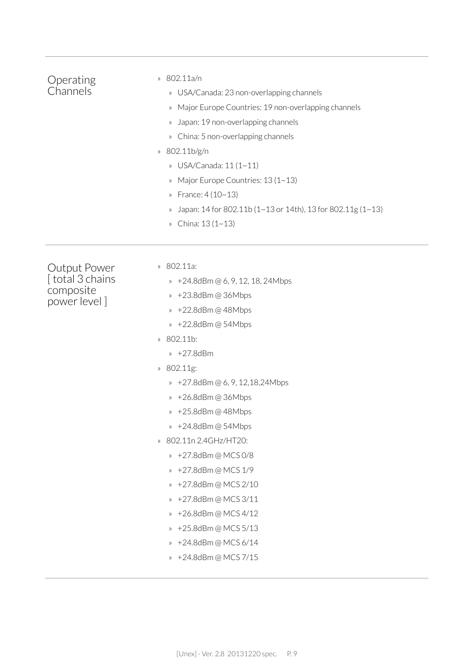| Operating<br>Channels                                        | 802.11a/n<br>$\rangle\!\rangle$<br>USA/Canada: 23 non-overlapping channels<br>$\rangle\!\rangle$<br>Major Europe Countries: 19 non-overlapping channels<br>$\rangle$<br>Japan: 19 non-overlapping channels<br>$\rangle\!\rangle$<br>China: 5 non-overlapping channels<br>$\rangle\!\rangle$<br>802.11b/g/n<br>$\rangle\!\rangle$<br>USA/Canada: 11 (1~11)<br>$\rangle\!\rangle$<br>Major Europe Countries: 13 (1~13)<br>$\rangle$<br>France: $4(10-13)$<br>$\rangle$<br>Japan: 14 for 802.11b (1~13 or 14th), 13 for 802.11g (1~13)<br>$\rangle\!\rangle$<br>China: 13 (1~13)<br>$\rangle\!\rangle$                                                                                                                               |
|--------------------------------------------------------------|-----------------------------------------------------------------------------------------------------------------------------------------------------------------------------------------------------------------------------------------------------------------------------------------------------------------------------------------------------------------------------------------------------------------------------------------------------------------------------------------------------------------------------------------------------------------------------------------------------------------------------------------------------------------------------------------------------------------------------------|
| Output Power<br>[total 3 chains<br>composite<br>power level] | 802.11a:<br>$\rangle\!\rangle$<br>» +24.8dBm @ 6, 9, 12, 18, 24Mbps<br>» +23.8dBm@36Mbps<br>» +22.8dBm @ 48Mbps<br>» +22.8dBm @ 54Mbps<br>802.11b:<br>$\rangle\!\rangle$<br>» +27.8dBm<br>802.11g:<br>$\rangle\!\rangle$<br>» +27.8dBm @ 6, 9, 12,18,24Mbps<br>» +26.8dBm@36Mbps<br>» +25.8dBm@48Mbps<br>+24.8dBm @ 54Mbps<br>$\rangle$<br>802.11n 2.4GHz/HT20:<br>$\rangle\!\rangle$<br>» +27.8dBm @ MCS 0/8<br>+27.8dBm @ MCS 1/9<br>$\rangle\!\rangle$<br>+27.8dBm @ MCS 2/10<br>$\rangle\!\rangle$<br>+27.8dBm@MCS3/11<br>$\rangle\!\rangle$<br>+26.8dBm@MCS4/12<br>$\rangle\!\rangle$<br>+25.8dBm @ MCS 5/13<br>$\rangle\!\rangle$<br>+24.8dBm @ MCS 6/14<br>$\rangle\!\rangle$<br>+24.8dBm @ MCS 7/15<br>$\rangle\!\rangle$ |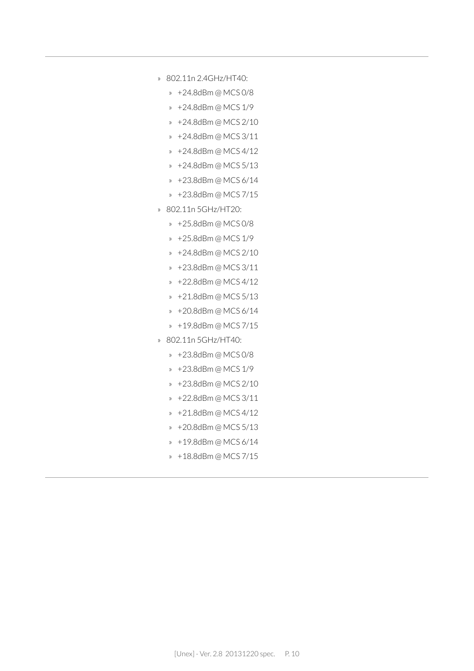- » 802.11n 2.4GHz/HT40:
	- » +24.8dBm @ MCS 0/8
	- » +24.8dBm @ MCS 1/9
	- » +24.8dBm @ MCS 2/10
	- » +24.8dBm @ MCS 3/11
	- » +24.8dBm @ MCS 4/12
	- » +24.8dBm @ MCS 5/13
	- » +23.8dBm @ MCS 6/14
	- » +23.8dBm @ MCS 7/15
- » 802.11n 5GHz/HT20:
	- » +25.8dBm @ MCS 0/8
	- » +25.8dBm @ MCS 1/9
	- » +24.8dBm @ MCS 2/10
	- » +23.8dBm @ MCS 3/11
	- » +22.8dBm @ MCS 4/12
	- » +21.8dBm @ MCS 5/13
	- » +20.8dBm @ MCS 6/14
	- » +19.8dBm @ MCS 7/15
- » 802.11n 5GHz/HT40:
	- » +23.8dBm @ MCS 0/8
	- » +23.8dBm @ MCS 1/9
	- » +23.8dBm @ MCS 2/10
	- » +22.8dBm @ MCS 3/11
	- » +21.8dBm @ MCS 4/12
	- » +20.8dBm @ MCS 5/13
	- » +19.8dBm @ MCS 6/14
	- » +18.8dBm @ MCS 7/15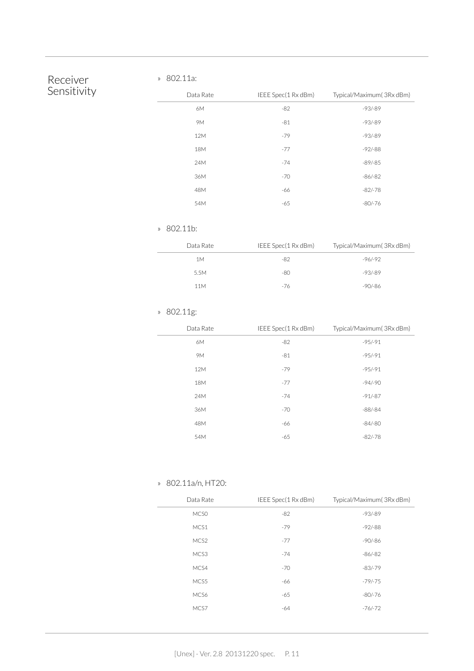#### Receiver Sensitivity

#### » 802.11a:

| Data Rate | IEEE Spec(1 Rx dBm) | Typical/Maximum(3Rx dBm) |
|-----------|---------------------|--------------------------|
| 6M        | $-82$               | $-93/ -89$               |
| <b>9M</b> | $-81$               | $-93/ -89$               |
| 12M       | $-79$               | $-93/ -89$               |
| 18M       | $-77$               | $-92/-88$                |
| 24M       | $-74$               | $-89/-85$                |
| 36M       | $-70$               | $-86/-82$                |
| 48M       | -66                 | $-82/-78$                |
| 54M       | $-65$               | $-80/-76$                |

#### » 802.11b:

| Data Rate | IEEE Spec(1 Rx dBm) | Typical/Maximum(3Rx dBm) |
|-----------|---------------------|--------------------------|
| 1 M       | -82                 | $-96/ - 92$              |
| 5.5M      | -80                 | $-93/89$                 |
| 11M       | -76                 | -90/-86                  |

#### » 802.11g:

| Data Rate | IEEE Spec(1 Rx dBm) | Typical/Maximum(3Rx dBm) |
|-----------|---------------------|--------------------------|
| 6M        | $-82$               | $-95/-91$                |
| 9M        | $-81$               | $-95/-91$                |
| 12M       | $-79$               | $-95/-91$                |
| 18M       | $-77$               | $-94/-90$                |
| 24M       | $-74$               | $-91/-87$                |
| 36M       | $-70$               | $-88/-84$                |
| 48M       | -66                 | $-84/-80$                |
| 54M       | $-65$               | $-82/-78$                |

#### » 802.11a/n, HT20:

| Data Rate        | IEEE Spec(1 Rx dBm) | Typical/Maximum(3Rx dBm) |
|------------------|---------------------|--------------------------|
| MCS <sub>0</sub> | $-82$               | $-93/-89$                |
| MCS1             | $-79$               | $-92/-88$                |
| MCS2             | $-77$               | $-90/-86$                |
| MCS3             | $-74$               | $-86/-82$                |
| MCS4             | $-70$               | $-83/-79$                |
| MCS5             | -66                 | $-79/-75$                |
| MCS6             | $-65$               | $-80/-76$                |
| MCS7             | $-64$               | $-76/-72$                |
|                  |                     |                          |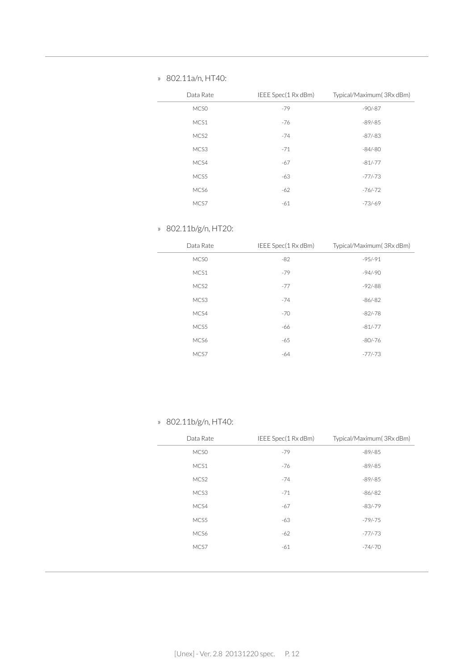#### » 802.11a/n, HT40:

| Data Rate | IEEE Spec(1 Rx dBm) | Typical/Maximum(3Rx dBm) |
|-----------|---------------------|--------------------------|
| MCS0      | $-79$               | $-90/-87$                |
| MCS1      | $-76$               | $-89/-85$                |
| MCS2      | $-74$               | $-87/-83$                |
| MCS3      | $-71$               | $-84/-80$                |
| MCS4      | $-67$               | $-81/-77$                |
| MCS5      | $-63$               | $-77/-73$                |
| MCS6      | $-62$               | $-76/-72$                |
| MCS7      | $-61$               | $-73/ -69$               |

#### » 802.11b/g/n, HT20:

| Data Rate        | IEEE Spec(1 Rx dBm) | Typical/Maximum(3Rx dBm) |
|------------------|---------------------|--------------------------|
| MCS <sub>0</sub> | $-82$               | $-95/-91$                |
| MCS1             | $-79$               | $-94/-90$                |
| MCS2             | $-77$               | $-92/-88$                |
| MCS3             | $-74$               | $-86/-82$                |
| MCS4             | $-70$               | $-82/-78$                |
| MCS5             | -66                 | $-81/-77$                |
| MCS6             | $-65$               | $-80/-76$                |
| MCS7             | $-64$               | $-77/-73$                |

» 802.11b/g/n, HT40:

| Data Rate | IEEE Spec(1 Rx dBm) | Typical/Maximum(3Rx dBm) |
|-----------|---------------------|--------------------------|
| MCS0      | $-79$               | $-89/-85$                |
| MCS1      | $-76$               | $-89/-85$                |
| MCS2      | $-74$               | $-89/-85$                |
| MCS3      | $-71$               | $-86/-82$                |
| MCS4      | $-67$               | $-83/-79$                |
| MCS5      | $-63$               | $-79/-75$                |
| MCS6      | $-62$               | $-77/-73$                |
| MCS7      | $-61$               | $-74/-70$                |
|           |                     |                          |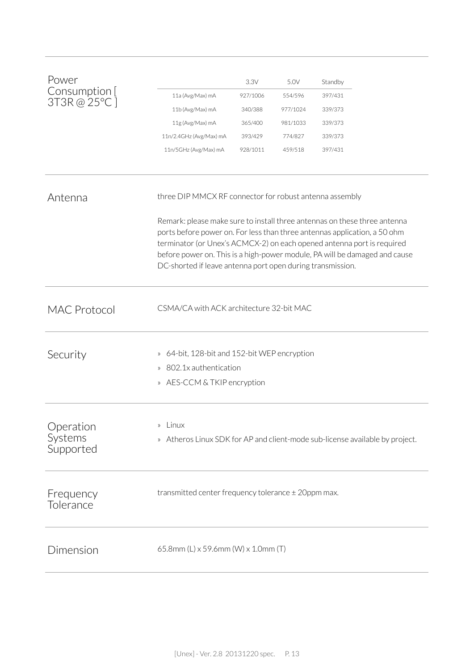| Power                             |                                                                  | 3.3V     | 5.0V     | Standby                                                                                                                                                                                                                                                                                                        |
|-----------------------------------|------------------------------------------------------------------|----------|----------|----------------------------------------------------------------------------------------------------------------------------------------------------------------------------------------------------------------------------------------------------------------------------------------------------------------|
| Consumption [                     | 11a (Avg/Max) mA                                                 | 927/1006 | 554/596  | 397/431                                                                                                                                                                                                                                                                                                        |
| 3T3R@25°C]                        | 11b (Avg/Max) mA                                                 | 340/388  | 977/1024 | 339/373                                                                                                                                                                                                                                                                                                        |
|                                   | 11g (Avg/Max) mA                                                 | 365/400  | 981/1033 | 339/373                                                                                                                                                                                                                                                                                                        |
|                                   | 11n/2.4GHz (Avg/Max) mA                                          | 393/429  | 774/827  | 339/373                                                                                                                                                                                                                                                                                                        |
|                                   | 11n/5GHz (Avg/Max) mA                                            | 928/1011 | 459/518  | 397/431                                                                                                                                                                                                                                                                                                        |
| Antenna                           | three DIP MMCX RF connector for robust antenna assembly          |          |          |                                                                                                                                                                                                                                                                                                                |
|                                   | DC-shorted if leave antenna port open during transmission.       |          |          | Remark: please make sure to install three antennas on these three antenna<br>ports before power on. For less than three antennas application, a 50 ohm<br>terminator (or Unex's ACMCX-2) on each opened antenna port is required<br>before power on. This is a high-power module, PA will be damaged and cause |
| <b>MAC Protocol</b>               | CSMA/CA with ACK architecture 32-bit MAC                         |          |          |                                                                                                                                                                                                                                                                                                                |
| Security                          | 64-bit, 128-bit and 152-bit WEP encryption<br>$\rangle\!\rangle$ |          |          |                                                                                                                                                                                                                                                                                                                |
|                                   | 802.1x authentication<br>$\rangle$                               |          |          |                                                                                                                                                                                                                                                                                                                |
|                                   | AES-CCM & TKIP encryption<br>$\rangle$                           |          |          |                                                                                                                                                                                                                                                                                                                |
| Operation<br>Systems<br>Supported | Linux<br>$\rangle\!\rangle$                                      |          |          | » Atheros Linux SDK for AP and client-mode sub-license available by project.                                                                                                                                                                                                                                   |
| Frequency<br>Tolerance            | transmitted center frequency tolerance $\pm$ 20ppm max.          |          |          |                                                                                                                                                                                                                                                                                                                |
| Dimension                         | 65.8mm (L) x 59.6mm (W) x 1.0mm (T)                              |          |          |                                                                                                                                                                                                                                                                                                                |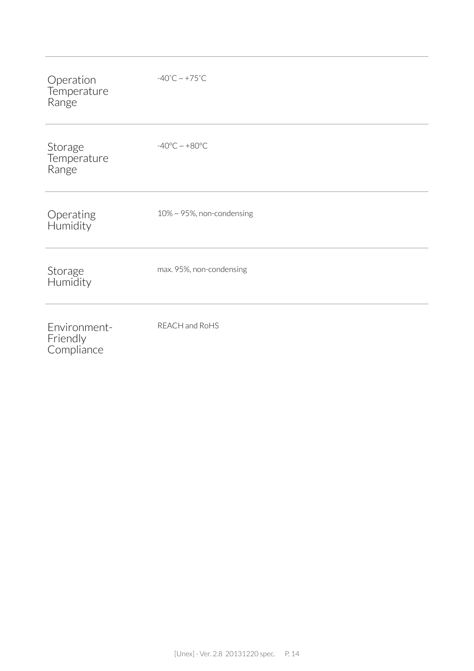| Operation<br>Temperature<br>Range      | $-40^{\circ}$ C ~ +75 $^{\circ}$ C |
|----------------------------------------|------------------------------------|
| Storage<br>Temperature<br>Range        | $-40^{\circ}$ C ~ $+80^{\circ}$ C  |
| Operating<br>Humidity                  | $10\%$ ~ 95%, non-condensing       |
| Storage<br>Humidity                    | max. 95%, non-condensing           |
| Environment-<br>Friendly<br>Compliance | REACH and RoHS                     |